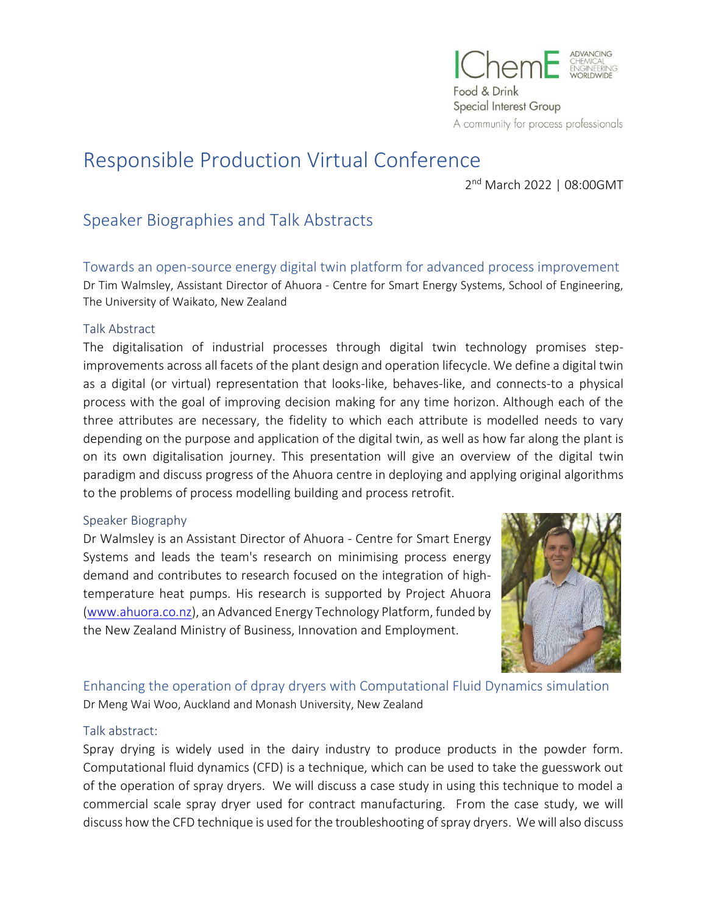

# Responsible Production Virtual Conference

2<sup>nd</sup> March 2022 | 08:00GMT

# Speaker Biographies and Talk Abstracts

Towards an open-source energy digital twin platform for advanced process improvement Dr Tim Walmsley, Assistant Director of Ahuora - Centre for Smart Energy Systems, School of Engineering, The University of Waikato, New Zealand

#### Talk Abstract

The digitalisation of industrial processes through digital twin technology promises stepimprovements across all facets of the plant design and operation lifecycle. We define a digital twin as a digital (or virtual) representation that looks-like, behaves-like, and connects-to a physical process with the goal of improving decision making for any time horizon. Although each of the three attributes are necessary, the fidelity to which each attribute is modelled needs to vary depending on the purpose and application of the digital twin, as well as how far along the plant is on its own digitalisation journey. This presentation will give an overview of the digital twin paradigm and discuss progress of the Ahuora centre in deploying and applying original algorithms to the problems of process modelling building and process retrofit.

#### Speaker Biography

Dr Walmsley is an Assistant Director of Ahuora - Centre for Smart Energy Systems and leads the team's research on minimising process energy demand and contributes to research focused on the integration of hightemperature heat pumps. His research is supported by Project Ahuora [\(www.ahuora.co.nz\)](https://urldefense.com/v3/__http:/www.ahuora.co.nz/__;!!KwM0_Rgk!ZfxWLLZQVoPUS-n-5__oZfKQC0uPFIUnYO3AY-HYAALbzqy5jbAGmY0NmmWZn5OF$), an Advanced Energy Technology Platform, funded by the New Zealand Ministry of Business, Innovation and Employment.



Enhancing the operation of dpray dryers with Computational Fluid Dynamics simulation Dr Meng Wai Woo, Auckland and Monash University, New Zealand

# Talk abstract:

Spray drying is widely used in the dairy industry to produce products in the powder form. Computational fluid dynamics (CFD) is a technique, which can be used to take the guesswork out of the operation of spray dryers. We will discuss a case study in using this technique to model a commercial scale spray dryer used for contract manufacturing. From the case study, we will discuss how the CFD technique is used for the troubleshooting of spray dryers. We will also discuss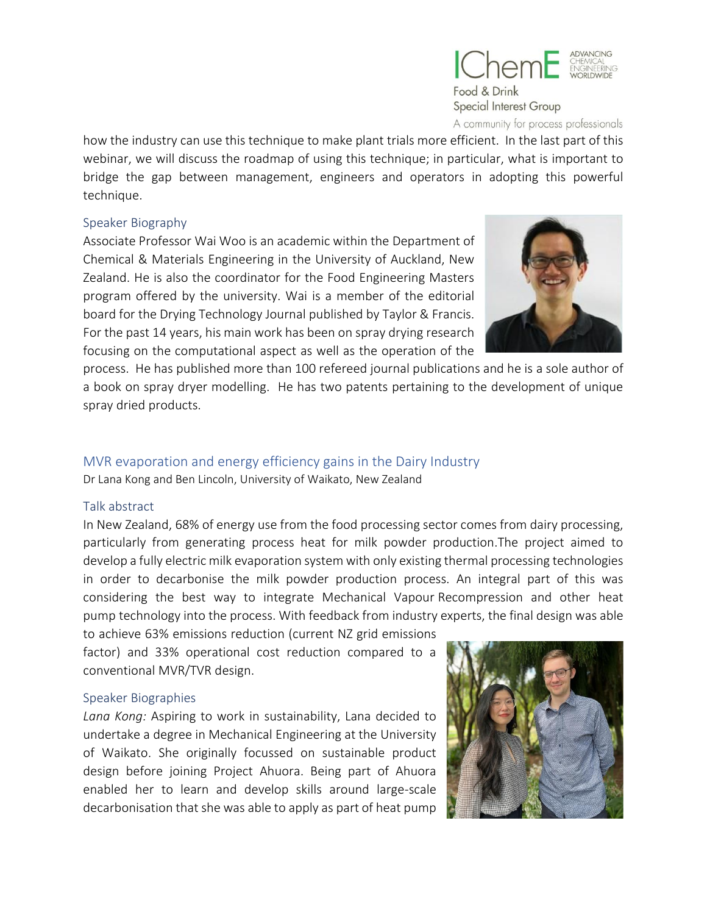

A community for process professionals

how the industry can use this technique to make plant trials more efficient. In the last professionals<br>how the industry can use this technique to make plant trials more efficient. In the last part of this webinar, we will discuss the roadmap of using this technique; in particular, what is important to bridge the gap between management, engineers and operators in adopting this powerful technique.

#### Speaker Biography

Associate Professor Wai Woo is an academic within the Department of Chemical & Materials Engineering in the University of Auckland, New Zealand. He is also the coordinator for the Food Engineering Masters program offered by the university. Wai is a member of the editorial board for the Drying Technology Journal published by Taylor & Francis. For the past 14 years, his main work has been on spray drying research focusing on the computational aspect as well as the operation of the



process. He has published more than 100 refereed journal publications and he is a sole author of a book on spray dryer modelling. He has two patents pertaining to the development of unique spray dried products.

# MVR evaporation and energy efficiency gains in the Dairy Industry

Dr Lana Kong and Ben Lincoln, University of Waikato, New Zealand

#### Talk abstract

In New Zealand, 68% of energy use from the food processing sector comes from dairy processing, particularly from generating process heat for milk powder production.The project aimed to develop a fully electric milk evaporation system with only existing thermal processing technologies in order to decarbonise the milk powder production process. An integral part of this was considering the best way to integrate Mechanical Vapour Recompression and other heat pump technology into the process. With feedback from industry experts, the final design was able

to achieve 63% emissions reduction (current NZ grid emissions factor) and 33% operational cost reduction compared to a conventional MVR/TVR design.

#### Speaker Biographies

*Lana Kong:* Aspiring to work in sustainability, Lana decided to undertake a degree in Mechanical Engineering at the University of Waikato. She originally focussed on sustainable product design before joining Project Ahuora. Being part of Ahuora enabled her to learn and develop skills around large-scale decarbonisation that she was able to apply as part of heat pump

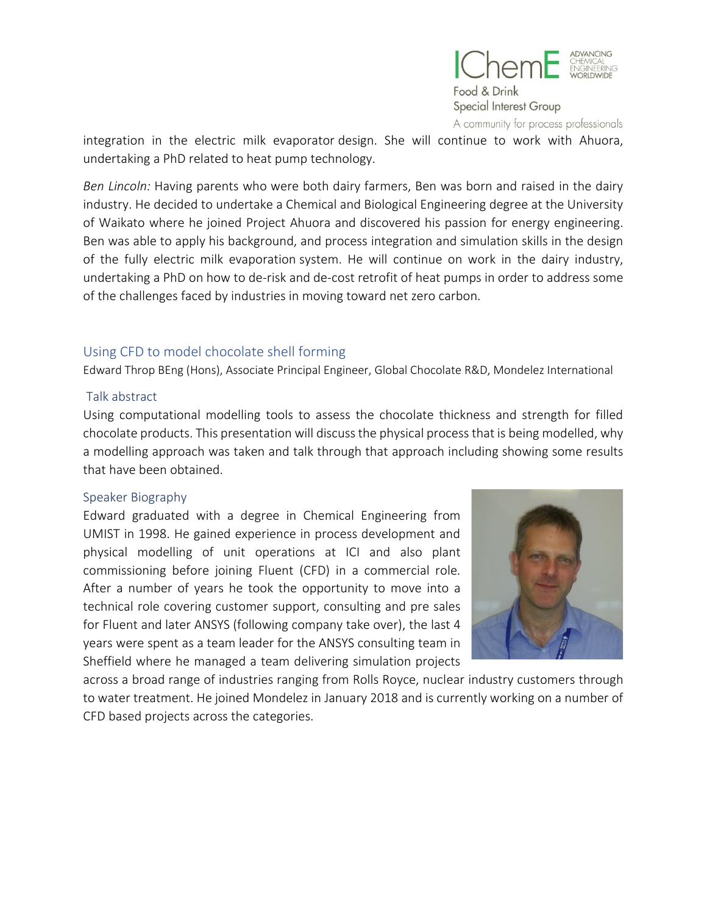

integration in the electric milk evaporator design. She will community for process professionals<br>integration in the electric milk evaporator design. She will continue to work with Ahuora, undertaking a PhD related to heat pump technology.

*Ben Lincoln:* Having parents who were both dairy farmers, Ben was born and raised in the dairy industry. He decided to undertake a Chemical and Biological Engineering degree at the University of Waikato where he joined Project Ahuora and discovered his passion for energy engineering. Ben was able to apply his background, and process integration and simulation skills in the design of the fully electric milk evaporation system. He will continue on work in the dairy industry, undertaking a PhD on how to de-risk and de-cost retrofit of heat pumps in order to address some of the challenges faced by industries in moving toward net zero carbon.

# Using CFD to model chocolate shell forming

Edward Throp BEng (Hons), Associate Principal Engineer, Global Chocolate R&D, Mondelez International

# Talk abstract

Using computational modelling tools to assess the chocolate thickness and strength for filled chocolate products. This presentation will discuss the physical process that is being modelled, why a modelling approach was taken and talk through that approach including showing some results that have been obtained.

# Speaker Biography

Edward graduated with a degree in Chemical Engineering from UMIST in 1998. He gained experience in process development and physical modelling of unit operations at ICI and also plant commissioning before joining Fluent (CFD) in a commercial role. After a number of years he took the opportunity to move into a technical role covering customer support, consulting and pre sales for Fluent and later ANSYS (following company take over), the last 4 years were spent as a team leader for the ANSYS consulting team in Sheffield where he managed a team delivering simulation projects



across a broad range of industries ranging from Rolls Royce, nuclear industry customers through to water treatment. He joined Mondelez in January 2018 and is currently working on a number of CFD based projects across the categories.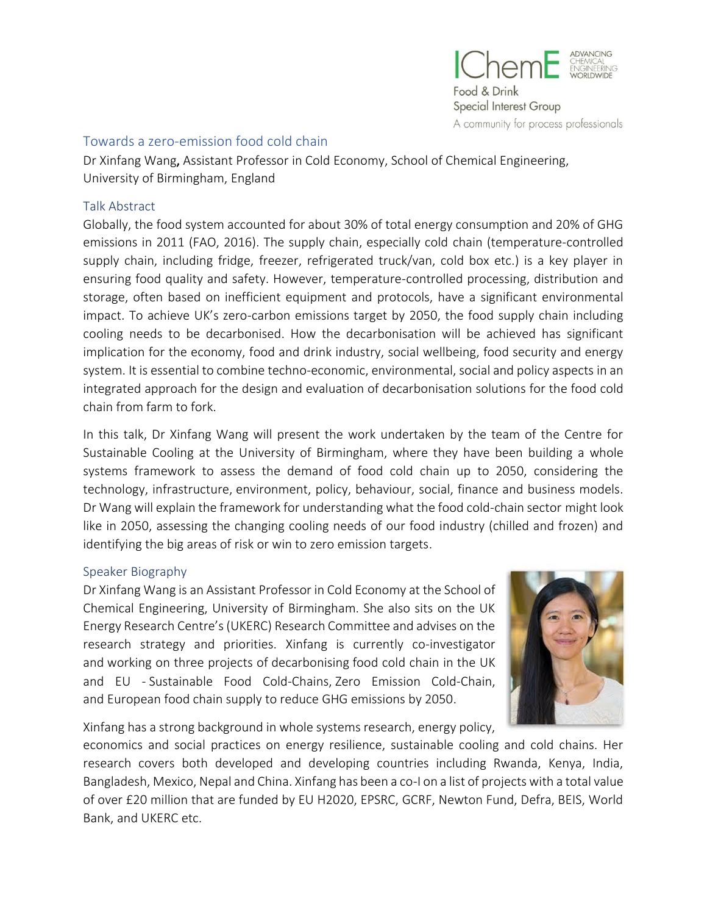

# Towards a zero-emission food cold chain

Dr Xinfang Wang, Assistant Professor in Cold Economy, School of Chemical Engineering, University of Birmingham, England

#### Talk Abstract

Globally, the food system accounted for about 30% of total energy consumption and 20% of GHG emissions in 2011 (FAO, 2016). The supply chain, especially cold chain (temperature-controlled supply chain, including fridge, freezer, refrigerated truck/van, cold box etc.) is a key player in ensuring food quality and safety. However, temperature-controlled processing, distribution and storage, often based on inefficient equipment and protocols, have a significant environmental impact. To achieve UK's zero-carbon emissions target by 2050, the food supply chain including cooling needs to be decarbonised. How the decarbonisation will be achieved has significant implication for the economy, food and drink industry, social wellbeing, food security and energy system. It is essential to combine techno-economic, environmental, social and policy aspects in an integrated approach for the design and evaluation of decarbonisation solutions for the food cold chain from farm to fork.

In this talk, Dr Xinfang Wang will present the work undertaken by the team of the Centre for Sustainable Cooling at the University of Birmingham, where they have been building a whole systems framework to assess the demand of food cold chain up to 2050, considering the technology, infrastructure, environment, policy, behaviour, social, finance and business models. Dr Wang will explain the framework for understanding what the food cold-chain sector might look like in 2050, assessing the changing cooling needs of our food industry (chilled and frozen) and identifying the big areas of risk or win to zero emission targets.

#### Speaker Biography

Dr Xinfang Wang is an Assistant Professor in Cold Economy at the School of Chemical Engineering, University of Birmingham. She also sits on the UK Energy Research Centre's (UKERC) Research Committee and advises on the research strategy and priorities. Xinfang is currently co-investigator and working on three projects of decarbonising food cold chain in the UK and EU - [Sustainable Food Cold-Chains,](https://ukerc.ac.uk/project/sustainable-food-cold-chains/) [Zero Emission Cold-Chain,](https://gow.epsrc.ukri.org/NGBOViewGrant.aspx?GrantRef=EP/V042548/1) and [European food chain supply to reduce GHG emissions by 2050.](https://cordis.europa.eu/project/id/101036588)



Xinfang has a strong background in whole systems research, energy policy,

economics and social practices on energy resilience, sustainable cooling and cold chains. Her research covers both developed and developing countries including Rwanda, Kenya, India, Bangladesh, Mexico, Nepal and China. Xinfang has been a co-I on a list of projects with a total value of over £20 million that are funded by EU H2020, EPSRC, GCRF, Newton Fund, Defra, BEIS, World Bank, and UKERC etc.